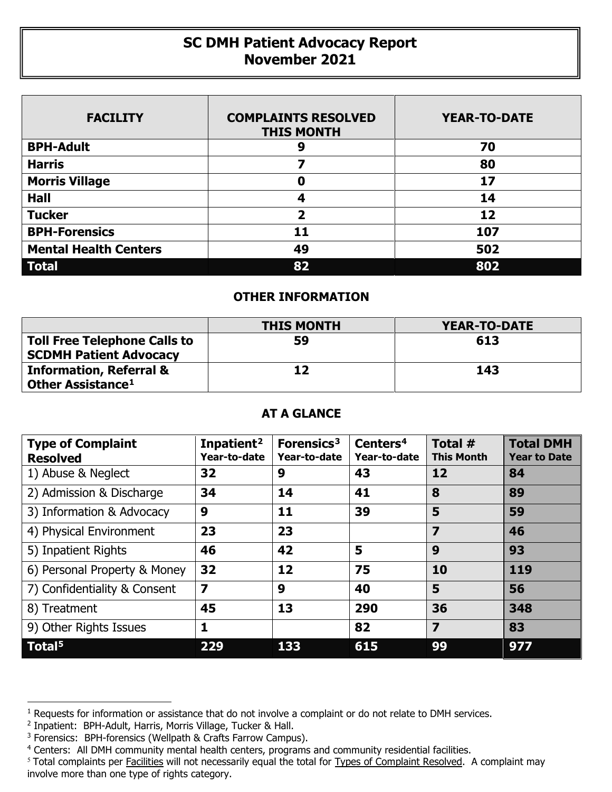## **SC DMH Patient Advocacy Report November 2021**

| <b>FACILITY</b>              | <b>COMPLAINTS RESOLVED</b><br><b>THIS MONTH</b> | <b>YEAR-TO-DATE</b> |
|------------------------------|-------------------------------------------------|---------------------|
| <b>BPH-Adult</b>             | 9                                               | 70                  |
| <b>Harris</b>                |                                                 | 80                  |
| <b>Morris Village</b>        | 0                                               | 17                  |
| <b>Hall</b>                  | 4                                               | 14                  |
| <b>Tucker</b>                | 2                                               | 12                  |
| <b>BPH-Forensics</b>         | 11                                              | 107                 |
| <b>Mental Health Centers</b> | 49                                              | 502                 |
| <b>Total</b>                 | 82                                              | 802                 |

## **OTHER INFORMATION**

|                                     | <b>THIS MONTH</b> | <b>YEAR-TO-DATE</b> |  |  |
|-------------------------------------|-------------------|---------------------|--|--|
| <b>Toll Free Telephone Calls to</b> | 59                | 613                 |  |  |
| <b>SCDMH Patient Advocacy</b>       |                   |                     |  |  |
| <b>Information, Referral &amp;</b>  | 12                | 143                 |  |  |
| Other Assistance <sup>1</sup>       |                   |                     |  |  |

## **AT A GLANCE**

| <b>Type of Complaint</b><br><b>Resolved</b> | Inpatient <sup>2</sup><br>Year-to-date | Forensics <sup>3</sup><br>Year-to-date | Centers <sup>4</sup><br>Year-to-date | Total #<br><b>This Month</b> | <b>Total DMH</b><br><b>Year to Date</b> |
|---------------------------------------------|----------------------------------------|----------------------------------------|--------------------------------------|------------------------------|-----------------------------------------|
| 1) Abuse & Neglect                          | 32                                     | 9                                      | 43                                   | 12                           | 84                                      |
| 2) Admission & Discharge                    | 34                                     | 14                                     | 41                                   | 8                            | 89                                      |
| 3) Information & Advocacy                   | 9                                      | 11                                     | 39                                   | 5                            | 59                                      |
| 4) Physical Environment                     | 23                                     | 23                                     |                                      | 7                            | 46                                      |
| 5) Inpatient Rights                         | 46                                     | 42                                     | 5                                    | 9                            | 93                                      |
| 6) Personal Property & Money                | 32                                     | 12                                     | 75                                   | 10                           | 119                                     |
| 7) Confidentiality & Consent                | $\overline{\mathbf{z}}$                | 9                                      | 40                                   | 5                            | 56                                      |
| 8) Treatment                                | 45                                     | 13                                     | 290                                  | 36                           | 348                                     |
| 9) Other Rights Issues                      | 1                                      |                                        | 82                                   | $\overline{\mathbf{z}}$      | 83                                      |
| Total <sup>5</sup>                          | 229                                    | 133                                    | 615                                  | 99                           | 977                                     |

 $\overline{a}$ 

<span id="page-0-0"></span> $1$  Requests for information or assistance that do not involve a complaint or do not relate to DMH services.

<span id="page-0-1"></span><sup>2</sup> Inpatient: BPH-Adult, Harris, Morris Village, Tucker & Hall.

<span id="page-0-2"></span><sup>&</sup>lt;sup>3</sup> Forensics: BPH-forensics (Wellpath & Crafts Farrow Campus).

<span id="page-0-3"></span><sup>4</sup> Centers: All DMH community mental health centers, programs and community residential facilities.

<span id="page-0-4"></span><sup>&</sup>lt;sup>5</sup> Total complaints per Facilities will not necessarily equal the total for Types of Complaint Resolved. A complaint may involve more than one type of rights category.